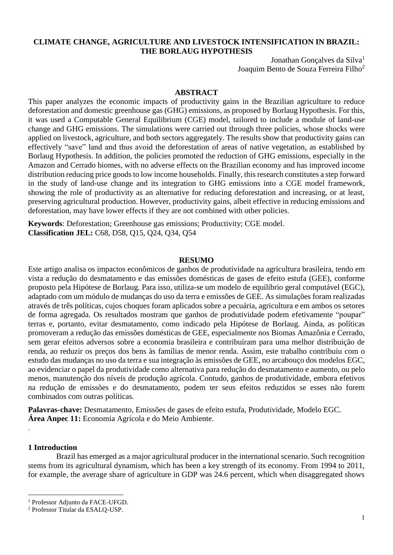# **CLIMATE CHANGE, AGRICULTURE AND LIVESTOCK INTENSIFICATION IN BRAZIL: THE BORLAUG HYPOTHESIS**

Jonathan Gonçalves da Silva<sup>1</sup> Joaquim Bento de Souza Ferreira Filho<sup>2</sup>

#### **ABSTRACT**

This paper analyzes the economic impacts of productivity gains in the Brazilian agriculture to reduce deforestation and domestic greenhouse gas (GHG) emissions, as proposed by Borlaug Hypothesis. For this, it was used a Computable General Equilibrium (CGE) model, tailored to include a module of land-use change and GHG emissions. The simulations were carried out through three policies, whose shocks were applied on livestock, agriculture, and both sectors aggregately. The results show that productivity gains can effectively "save" land and thus avoid the deforestation of areas of native vegetation, as established by Borlaug Hypothesis. In addition, the policies promoted the reduction of GHG emissions, especially in the Amazon and Cerrado biomes, with no adverse effects on the Brazilian economy and has improved income distribution reducing price goods to low income households. Finally, this research constitutes a step forward in the study of land-use change and its integration to GHG emissions into a CGE model framework, showing the role of productivity as an alternative for reducing deforestation and increasing, or at least, preserving agricultural production. However, productivity gains, albeit effective in reducing emissions and deforestation, may have lower effects if they are not combined with other policies.

**Keywords**: Deforestation; Greenhouse gas emissions; Productivity; CGE model. **Classification JEL:** C68, D58, Q15, Q24, Q34, Q54

#### **RESUMO**

Este artigo analisa os impactos econômicos de ganhos de produtividade na agricultura brasileira, tendo em vista a redução do desmatamento e das emissões domésticas de gases de efeito estufa (GEE), conforme proposto pela Hipótese de Borlaug. Para isso, utiliza-se um modelo de equilíbrio geral computável (EGC), adaptado com um módulo de mudanças do uso da terra e emissões de GEE. As simulações foram realizadas através de três políticas, cujos choques foram aplicados sobre a pecuária, agricultura e em ambos os setores de forma agregada. Os resultados mostram que ganhos de produtividade podem efetivamente "poupar" terras e, portanto, evitar desmatamento, como indicado pela Hipótese de Borlaug. Ainda, as políticas promoveram a redução das emissões domésticas de GEE, especialmente nos Biomas Amazônia e Cerrado, sem gerar efeitos adversos sobre a economia brasileira e contribuíram para uma melhor distribuição de renda, ao reduzir os preços dos bens às famílias de menor renda. Assim, este trabalho contribuiu com o estudo das mudanças no uso da terra e sua integração às emissões de GEE, no arcabouço dos modelos EGC, ao evidenciar o papel da produtividade como alternativa para redução do desmatamento e aumento, ou pelo menos, manutenção dos níveis de produção agrícola. Contudo, ganhos de produtividade, embora efetivos na redução de emissões e do desmatamento, podem ter seus efeitos reduzidos se esses não forem combinados com outras políticas.

**Palavras-chave:** Desmatamento, Emissões de gases de efeito estufa, Produtividade, Modelo EGC. **Área Anpec 11:** Economia Agrícola e do Meio Ambiente.

## **1 Introduction**

.

 $\overline{a}$ 

Brazil has emerged as a major agricultural producer in the international scenario. Such recognition stems from its agricultural dynamism, which has been a key strength of its economy. From 1994 to 2011, for example, the average share of agriculture in GDP was 24.6 percent, which when disaggregated shows

<sup>1</sup> Professor Adjunto da FACE-UFGD.

<sup>2</sup> Professor Titular da ESALQ-USP.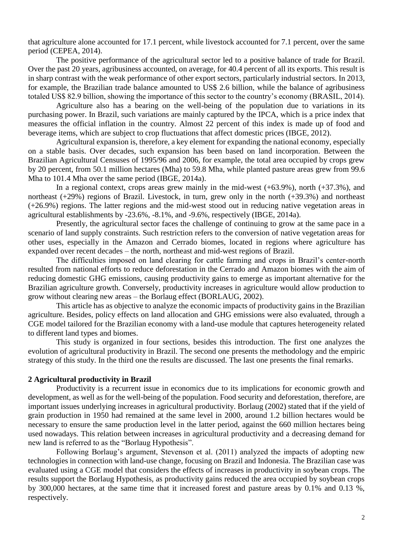that agriculture alone accounted for 17.1 percent, while livestock accounted for 7.1 percent, over the same period (CEPEA, 2014).

The positive performance of the agricultural sector led to a positive balance of trade for Brazil. Over the past 20 years, agribusiness accounted, on average, for 40.4 percent of all its exports. This result is in sharp contrast with the weak performance of other export sectors, particularly industrial sectors. In 2013, for example, the Brazilian trade balance amounted to US\$ 2.6 billion, while the balance of agribusiness totaled US\$ 82.9 billion, showing the importance of this sector to the country's economy (BRASIL, 2014).

Agriculture also has a bearing on the well-being of the population due to variations in its purchasing power. In Brazil, such variations are mainly captured by the IPCA, which is a price index that measures the official inflation in the country. Almost 22 percent of this index is made up of food and beverage items, which are subject to crop fluctuations that affect domestic prices (IBGE, 2012).

Agricultural expansion is, therefore, a key element for expanding the national economy, especially on a stable basis. Over decades, such expansion has been based on land incorporation. Between the Brazilian Agricultural Censuses of 1995/96 and 2006, for example, the total area occupied by crops grew by 20 percent, from 50.1 million hectares (Mha) to 59.8 Mha, while planted pasture areas grew from 99.6 Mha to 101.4 Mha over the same period (IBGE, 2014a).

In a regional context, crops areas grew mainly in the mid-west  $(+63.9\%)$ , north  $(+37.3\%)$ , and northeast (+29%) regions of Brazil. Livestock, in turn, grew only in the north (+39.3%) and northeast (+26.9%) regions. The latter regions and the mid-west stood out in reducing native vegetation areas in agricultural establishments by -23.6%, -8.1%, and -9.6%, respectively (IBGE, 2014a).

Presently, the agricultural sector faces the challenge of continuing to grow at the same pace in a scenario of land supply constraints. Such restriction refers to the conversion of native vegetation areas for other uses, especially in the Amazon and Cerrado biomes, located in regions where agriculture has expanded over recent decades – the north, northeast and mid-west regions of Brazil.

The difficulties imposed on land clearing for cattle farming and crops in Brazil's center-north resulted from national efforts to reduce deforestation in the Cerrado and Amazon biomes with the aim of reducing domestic GHG emissions, causing productivity gains to emerge as important alternative for the Brazilian agriculture growth. Conversely, productivity increases in agriculture would allow production to grow without clearing new areas – the Borlaug effect (BORLAUG, 2002).

This article has as objective to analyze the economic impacts of productivity gains in the Brazilian agriculture. Besides, policy effects on land allocation and GHG emissions were also evaluated, through a CGE model tailored for the Brazilian economy with a land-use module that captures heterogeneity related to different land types and biomes.

This study is organized in four sections, besides this introduction. The first one analyzes the evolution of agricultural productivity in Brazil. The second one presents the methodology and the empiric strategy of this study. In the third one the results are discussed. The last one presents the final remarks.

### **2 Agricultural productivity in Brazil**

Productivity is a recurrent issue in economics due to its implications for economic growth and development, as well as for the well-being of the population. Food security and deforestation, therefore, are important issues underlying increases in agricultural productivity. Borlaug (2002) stated that if the yield of grain production in 1950 had remained at the same level in 2000, around 1.2 billion hectares would be necessary to ensure the same production level in the latter period, against the 660 million hectares being used nowadays. This relation between increases in agricultural productivity and a decreasing demand for new land is referred to as the "Borlaug Hypothesis".

Following Borlaug's argument, Stevenson et al. (2011) analyzed the impacts of adopting new technologies in connection with land-use change, focusing on Brazil and Indonesia. The Brazilian case was evaluated using a CGE model that considers the effects of increases in productivity in soybean crops. The results support the Borlaug Hypothesis, as productivity gains reduced the area occupied by soybean crops by 300,000 hectares, at the same time that it increased forest and pasture areas by 0.1% and 0.13 %, respectively.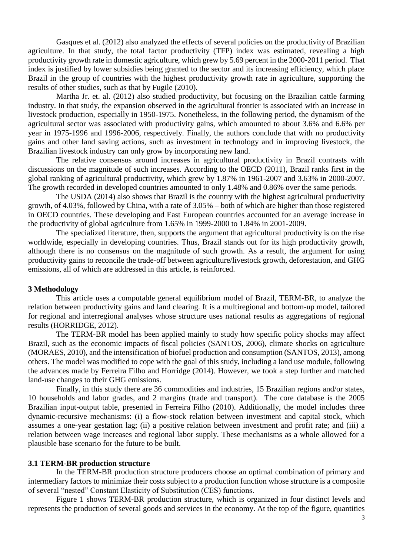Gasques et al. (2012) also analyzed the effects of several policies on the productivity of Brazilian agriculture. In that study, the total factor productivity (TFP) index was estimated, revealing a high productivity growth rate in domestic agriculture, which grew by 5.69 percent in the 2000-2011 period. That index is justified by lower subsidies being granted to the sector and its increasing efficiency, which place Brazil in the group of countries with the highest productivity growth rate in agriculture, supporting the results of other studies, such as that by Fugile (2010).

Martha Jr. et. al. (2012) also studied productivity, but focusing on the Brazilian cattle farming industry. In that study, the expansion observed in the agricultural frontier is associated with an increase in livestock production, especially in 1950-1975. Nonetheless, in the following period, the dynamism of the agricultural sector was associated with productivity gains, which amounted to about 3.6% and 6.6% per year in 1975-1996 and 1996-2006, respectively. Finally, the authors conclude that with no productivity gains and other land saving actions, such as investment in technology and in improving livestock, the Brazilian livestock industry can only grow by incorporating new land.

The relative consensus around increases in agricultural productivity in Brazil contrasts with discussions on the magnitude of such increases. According to the OECD (2011), Brazil ranks first in the global ranking of agricultural productivity, which grew by 1.87% in 1961-2007 and 3.63% in 2000-2007. The growth recorded in developed countries amounted to only 1.48% and 0.86% over the same periods.

The USDA (2014) also shows that Brazil is the country with the highest agricultural productivity growth, of 4.03%, followed by China, with a rate of 3.05% – both of which are higher than those registered in OECD countries. These developing and East European countries accounted for an average increase in the productivity of global agriculture from 1.65% in 1999-2000 to 1.84% in 2001-2009.

The specialized literature, then, supports the argument that agricultural productivity is on the rise worldwide, especially in developing countries. Thus, Brazil stands out for its high productivity growth, although there is no consensus on the magnitude of such growth. As a result, the argument for using productivity gains to reconcile the trade-off between agriculture/livestock growth, deforestation, and GHG emissions, all of which are addressed in this article, is reinforced.

### **3 Methodology**

This article uses a computable general equilibrium model of Brazil, TERM-BR, to analyze the relation between productivity gains and land clearing. It is a multiregional and bottom-up model, tailored for regional and interregional analyses whose structure uses national results as aggregations of regional results (HORRIDGE, 2012).

The TERM-BR model has been applied mainly to study how specific policy shocks may affect Brazil, such as the economic impacts of fiscal policies (SANTOS, 2006), climate shocks on agriculture (MORAES, 2010), and the intensification of biofuel production and consumption (SANTOS, 2013), among others. The model was modified to cope with the goal of this study, including a land use module, following the advances made by Ferreira Filho and Horridge (2014). However, we took a step further and matched land-use changes to their GHG emissions.

Finally, in this study there are 36 commodities and industries, 15 Brazilian regions and/or states, 10 households and labor grades, and 2 margins (trade and transport). The core database is the 2005 Brazilian input-output table, presented in Ferreira Filho (2010). Additionally, the model includes three dynamic-recursive mechanisms: (i) a flow-stock relation between investment and capital stock, which assumes a one-year gestation lag; (ii) a positive relation between investment and profit rate; and (iii) a relation between wage increases and regional labor supply. These mechanisms as a whole allowed for a plausible base scenario for the future to be built.

#### **3.1 TERM-BR production structure**

In the TERM-BR production structure producers choose an optimal combination of primary and intermediary factors to minimize their costs subject to a production function whose structure is a composite of several "nested" Constant Elasticity of Substitution (CES) functions.

Figure 1 shows TERM-BR production structure, which is organized in four distinct levels and represents the production of several goods and services in the economy. At the top of the figure, quantities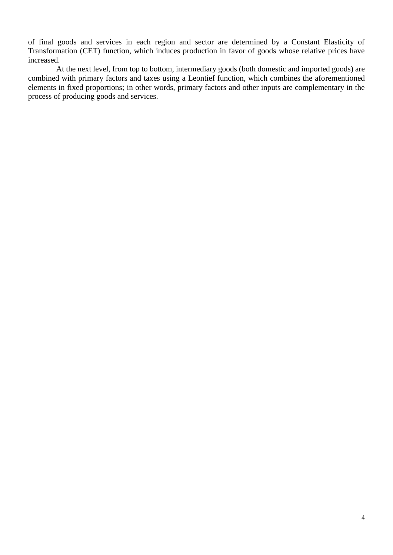of final goods and services in each region and sector are determined by a Constant Elasticity of Transformation (CET) function, which induces production in favor of goods whose relative prices have increased.

At the next level, from top to bottom, intermediary goods (both domestic and imported goods) are combined with primary factors and taxes using a Leontief function, which combines the aforementioned elements in fixed proportions; in other words, primary factors and other inputs are complementary in the process of producing goods and services.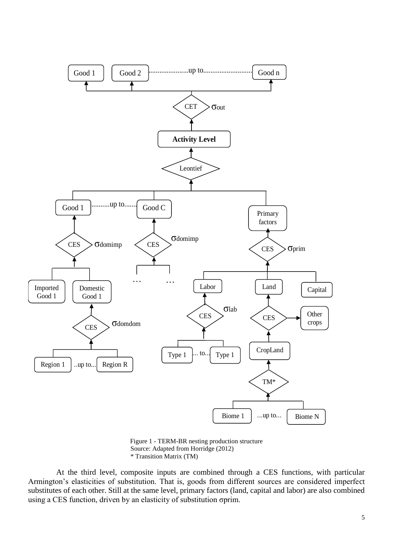

Figure 1 - TERM-BR nesting production structure Source: Adapted from Horridge (2012) \* Transition Matrix (TM)

At the third level, composite inputs are combined through a CES functions, with particular Armington's elasticities of substitution. That is, goods from different sources are considered imperfect substitutes of each other. Still at the same level, primary factors (land, capital and labor) are also combined using a CES function, driven by an elasticity of substitution σprim.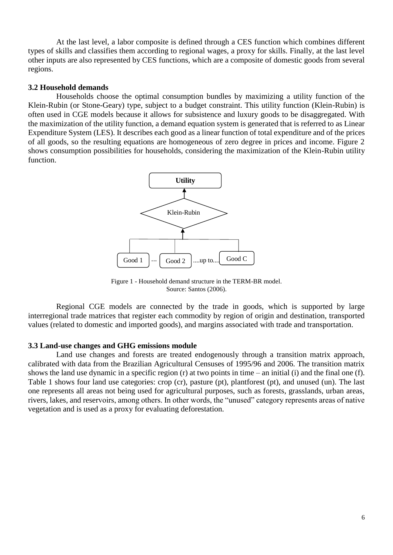At the last level, a labor composite is defined through a CES function which combines different types of skills and classifies them according to regional wages, a proxy for skills. Finally, at the last level other inputs are also represented by CES functions, which are a composite of domestic goods from several regions.

## **3.2 Household demands**

Households choose the optimal consumption bundles by maximizing a utility function of the Klein-Rubin (or Stone-Geary) type, subject to a budget constraint. This utility function (Klein-Rubin) is often used in CGE models because it allows for subsistence and luxury goods to be disaggregated. With the maximization of the utility function, a demand equation system is generated that is referred to as Linear Expenditure System (LES). It describes each good as a linear function of total expenditure and of the prices of all goods, so the resulting equations are homogeneous of zero degree in prices and income. Figure 2 shows consumption possibilities for households, considering the maximization of the Klein-Rubin utility function.



Figure 1 - Household demand structure in the TERM-BR model. Source: Santos (2006).

Regional CGE models are connected by the trade in goods, which is supported by large interregional trade matrices that register each commodity by region of origin and destination, transported values (related to domestic and imported goods), and margins associated with trade and transportation.

#### **3.3 Land-use changes and GHG emissions module**

Land use changes and forests are treated endogenously through a transition matrix approach, calibrated with data from the Brazilian Agricultural Censuses of 1995/96 and 2006. The transition matrix shows the land use dynamic in a specific region (r) at two points in time – an initial (i) and the final one (f). Table 1 shows four land use categories: crop (cr), pasture (pt), plantforest (pt), and unused (un). The last one represents all areas not being used for agricultural purposes, such as forests, grasslands, urban areas, rivers, lakes, and reservoirs, among others. In other words, the "unused" category represents areas of native vegetation and is used as a proxy for evaluating deforestation.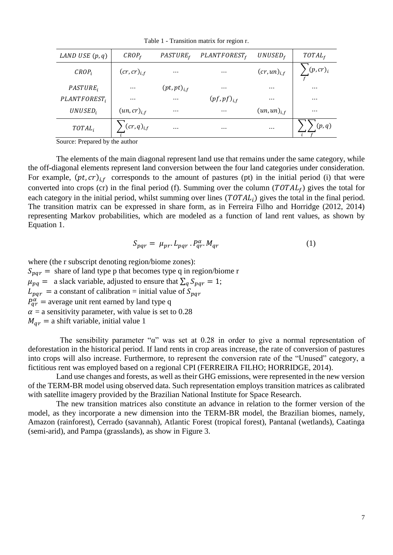Table 1 - Transition matrix for region r.

| LAND USE $(p, q)$           | CROP <sub>f</sub> | PASTURE <sub>f</sub> | PLANTFOREST <sub>f</sub> | $UNUSED_f$       | $TOTAL_f$ |
|-----------------------------|-------------------|----------------------|--------------------------|------------------|-----------|
| $CROP_i$                    | $(cr, cr)_{i.f}$  | $\cdots$             | $\cdots$                 | $(cr, un)_{i.f}$ | (p,cr)    |
| <i>PASTURE</i> <sub>i</sub> | $\cdots$          | $(pt, pt)_{i.f}$     | $\cdots$                 | $\cdots$         | $\cdots$  |
| PLANTFOREST <sub>i</sub>    | $\cdots$          | $\cdots$             | $(pf, pf)_{i,f}$         | $\cdots$         | $\cdots$  |
| $UNUSED_i$                  | $(un,cr)_{i,f}$   | $\cdots$             | $\cdots$                 | $(un,un)_{i,f}$  | $\cdots$  |
| $TOTAL_i$                   | $(c r, q)_{i,f}$  | $\cdots$             | $\cdots$                 | $\cdots$         | (p,q)     |

Source: Prepared by the author

The elements of the main diagonal represent land use that remains under the same category, while the off-diagonal elements represent land conversion between the four land categories under consideration. For example,  $(pt, cr)_{i,f}$  corresponds to the amount of pastures (pt) in the initial period (i) that were converted into crops (cr) in the final period (f). Summing over the column ( $TOTAL<sub>f</sub>$ ) gives the total for each category in the initial period, whilst summing over lines  $(TOTAL_i)$  gives the total in the final period. The transition matrix can be expressed in share form, as in Ferreira Filho and Horridge (2012, 2014) representing Markov probabilities, which are modeled as a function of land rent values, as shown by Equation 1.

$$
S_{pqr} = \mu_{pr}. L_{pqr}. P_{qr}^{\alpha}. M_{qr} \tag{1}
$$

where (the r subscript denoting region/biome zones):  $S_{par}$  = share of land type p that becomes type q in region/biome r  $\mu_{pq} =$  a slack variable, adjusted to ensure that  $\sum_{q} S_{pqr} = 1$ ;  $L_{pqr}$  = a constant of calibration = initial value of  $S_{pqr}$  $P_{qr}^{\alpha}$  = average unit rent earned by land type q  $\alpha$  = a sensitivity parameter, with value is set to 0.28  $M_{ar}$  = a shift variable, initial value 1

 The sensibility parameter "α" was set at 0.28 in order to give a normal representation of deforestation in the historical period. If land rents in crop areas increase, the rate of conversion of pastures into crops will also increase. Furthermore, to represent the conversion rate of the "Unused" category, a fictitious rent was employed based on a regional CPI (FERREIRA FILHO; HORRIDGE, 2014).

Land use changes and forests, as well as their GHG emissions, were represented in the new version of the TERM-BR model using observed data. Such representation employs transition matrices as calibrated with satellite imagery provided by the Brazilian National Institute for Space Research.

The new transition matrices also constitute an advance in relation to the former version of the model, as they incorporate a new dimension into the TERM-BR model, the Brazilian biomes, namely, Amazon (rainforest), Cerrado (savannah), Atlantic Forest (tropical forest), Pantanal (wetlands), Caatinga (semi-arid), and Pampa (grasslands), as show in Figure 3.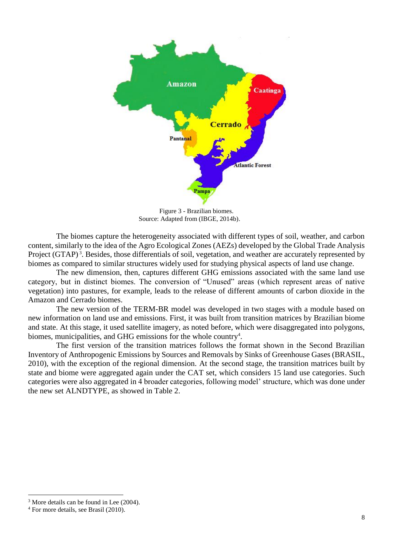

Figure 3 - Brazilian biomes. Source: Adapted from (IBGE, 2014b).

The biomes capture the heterogeneity associated with different types of soil, weather, and carbon content, similarly to the idea of the Agro Ecological Zones (AEZs) developed by the Global Trade Analysis Project (GTAP)<sup>3</sup>. Besides, those differentials of soil, vegetation, and weather are accurately represented by biomes as compared to similar structures widely used for studying physical aspects of land use change.

The new dimension, then, captures different GHG emissions associated with the same land use category, but in distinct biomes. The conversion of "Unused" areas (which represent areas of native vegetation) into pastures, for example, leads to the release of different amounts of carbon dioxide in the Amazon and Cerrado biomes.

The new version of the TERM-BR model was developed in two stages with a module based on new information on land use and emissions. First, it was built from transition matrices by Brazilian biome and state. At this stage, it used satellite imagery, as noted before, which were disaggregated into polygons, biomes, municipalities, and GHG emissions for the whole country<sup>4</sup>.

The first version of the transition matrices follows the format shown in the Second Brazilian Inventory of Anthropogenic Emissions by Sources and Removals by Sinks of Greenhouse Gases (BRASIL, 2010), with the exception of the regional dimension. At the second stage, the transition matrices built by state and biome were aggregated again under the CAT set, which considers 15 land use categories. Such categories were also aggregated in 4 broader categories, following model' structure, which was done under the new set ALNDTYPE, as showed in Table 2.

 $\overline{a}$ 

<sup>&</sup>lt;sup>3</sup> More details can be found in Lee (2004).

<sup>4</sup> For more details, see Brasil (2010).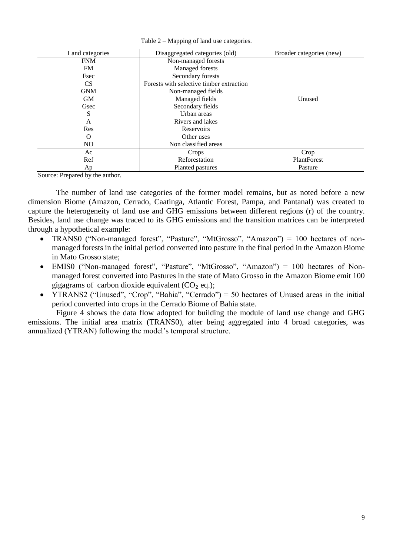| Land categories | Disaggregated categories (old)           | Broader categories (new) |
|-----------------|------------------------------------------|--------------------------|
| <b>FNM</b>      | Non-managed forests                      |                          |
| FM              | Managed forests                          |                          |
| Fsec            | Secondary forests                        |                          |
| CS              | Forests with selective timber extraction |                          |
| <b>GNM</b>      | Non-managed fields                       |                          |
| <b>GM</b>       | Managed fields                           | Unused                   |
| Gsec            | Secondary fields                         |                          |
| S               | Urban areas                              |                          |
| A               | Rivers and lakes                         |                          |
| Res             | Reservoirs                               |                          |
| O               | Other uses                               |                          |
| NO.             | Non classified areas                     |                          |
| Ac              | Crops                                    | Crop                     |
| Ref             | Reforestation                            | PlantForest              |
| Aр              | Planted pastures                         | Pasture                  |

Table 2 – Mapping of land use categories.

Source: Prepared by the author.

The number of land use categories of the former model remains, but as noted before a new dimension Biome (Amazon, Cerrado, Caatinga, Atlantic Forest, Pampa, and Pantanal) was created to capture the heterogeneity of land use and GHG emissions between different regions (r) of the country. Besides, land use change was traced to its GHG emissions and the transition matrices can be interpreted through a hypothetical example:

- TRANS0 ("Non-managed forest", "Pasture", "MtGrosso", "Amazon") = 100 hectares of nonmanaged forests in the initial period converted into pasture in the final period in the Amazon Biome in Mato Grosso state;
- EMIS0 ("Non-managed forest", "Pasture", "MtGrosso", "Amazon") = 100 hectares of Nonmanaged forest converted into Pastures in the state of Mato Grosso in the Amazon Biome emit 100 gigagrams of carbon dioxide equivalent  $(CO<sub>2</sub> eq.);$
- YTRANS2 ("Unused", "Crop", "Bahia", "Cerrado") = 50 hectares of Unused areas in the initial period converted into crops in the Cerrado Biome of Bahia state.

Figure 4 shows the data flow adopted for building the module of land use change and GHG emissions. The initial area matrix (TRANS0), after being aggregated into 4 broad categories, was annualized (YTRAN) following the model's temporal structure.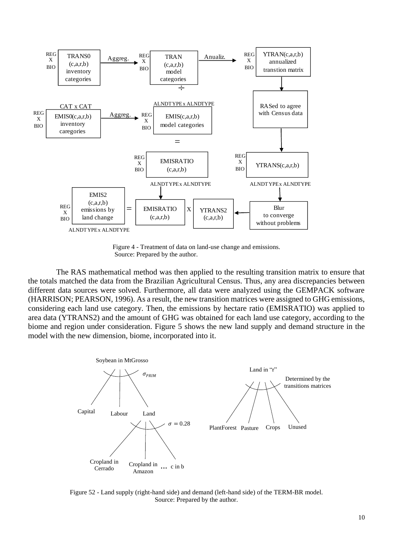

Figure 4 - Treatment of data on land-use change and emissions. Source: Prepared by the author.

The RAS mathematical method was then applied to the resulting transition matrix to ensure that the totals matched the data from the Brazilian Agricultural Census. Thus, any area discrepancies between different data sources were solved. Furthermore, all data were analyzed using the GEMPACK software (HARRISON; PEARSON, 1996). As a result, the new transition matrices were assigned to GHG emissions, considering each land use category. Then, the emissions by hectare ratio (EMISRATIO) was applied to area data (YTRANS2) and the amount of GHG was obtained for each land use category, according to the biome and region under consideration. Figure 5 shows the new land supply and demand structure in the model with the new dimension, biome, incorporated into it.



Figure 52 - Land supply (right-hand side) and demand (left-hand side) of the TERM-BR model. Source: Prepared by the author.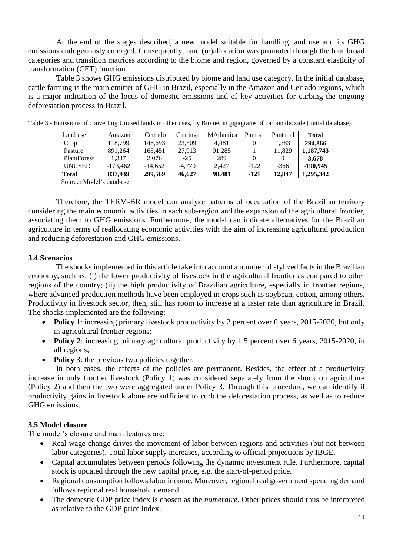At the end of the stages described, a new model suitable for handling land use and its GHG emissions endogenously emerged. Consequently, land (re)allocation was promoted through the four broad categories and transition matrices according to the biome and region, governed by a constant elasticity of transformation (CET) function.

Table 3 shows GHG emissions distributed by biome and land use category. In the initial database, cattle farming is the main emitter of GHG in Brazil, especially in the Amazon and Cerrado regions, which is a major indication of the locus of domestic emissions and of key activities for curbing the ongoing deforestation process in Brazil.

| Land use                                      | Amazon     | Cerrado   | Caatinga | <b>MAtlantica</b> | Pampa  | Pantanal | <b>Total</b> |
|-----------------------------------------------|------------|-----------|----------|-------------------|--------|----------|--------------|
| Crop                                          | 118,799    | 146.693   | 23,509   | 4.481             |        | 1.383    | 294.866      |
| Pasture                                       | 891.264    | 165.451   | 27.913   | 91.285            |        | 11.829   | 1,187,743    |
| <b>PlantForest</b>                            | 1.337      | 2.076     | $-25$    | 289               |        |          | 3.678        |
| UNUSED                                        | $-173.462$ | $-14.652$ | $-4.770$ | 2.427             | $-122$ | -366     | $-190.945$   |
| <b>Total</b>                                  | 837.939    | 299,569   | 46.627   | 98.481            | -121   | 12.847   | 1.295.342    |
| $C_{\alpha}$ $(0.0000 \text{ Mg})^2$ detabase |            |           |          |                   |        |          |              |

Table 3 - Emissions of converting Unused lands in other uses, by Biome, in gigagrams of carbon dioxide (initial database).

Source: Model's database.

Therefore, the TERM-BR model can analyze patterns of occupation of the Brazilian territory considering the main economic activities in each sub-region and the expansion of the agricultural frontier, associating them to GHG emissions. Furthermore, the model can indicate alternatives for the Brazilian agriculture in terms of reallocating economic activities with the aim of increasing agricultural production and reducing deforestation and GHG emissions.

### **3.4 Scenarios**

The shocks implemented in this article take into account a number of stylized facts in the Brazilian economy, such as: (i) the lower productivity of livestock in the agricultural frontier as compared to other regions of the country; (ii) the high productivity of Brazilian agriculture, especially in frontier regions, where advanced production methods have been employed in crops such as soybean, cotton, among others. Productivity in livestock sector, then, still has room to increase at a faster rate than agriculture in Brazil. The shocks implemented are the following:

- Policy 1: increasing primary livestock productivity by 2 percent over 6 years, 2015-2020, but only in agricultural frontier regions;
- Policy 2: increasing primary agricultural productivity by 1.5 percent over 6 years, 2015-2020, in all regions;
- Policy 3: the previous two policies together.

In both cases, the effects of the policies are permanent. Besides, the effect of a productivity increase in only frontier livestock (Policy 1) was considered separately from the shock on agriculture (Policy 2) and then the two were aggregated under Policy 3. Through this procedure, we can identify if productivity gains in livestock alone are sufficient to curb the deforestation process, as well as to reduce GHG emissions.

# **3.5 Model closure**

The model's closure and main features are:

- Real wage change drives the movement of labor between regions and activities (but not between labor categories). Total labor supply increases, according to official projections by IBGE.
- Capital accumulates between periods following the dynamic investment rule. Furthermore, capital stock is updated through the new capital price, e.g. the start-of-period price.
- Regional consumption follows labor income. Moreover, regional real government spending demand follows regional real household demand.
- The domestic GDP price index is chosen as the *numeraire*. Other prices should thus be interpreted as relative to the GDP price index.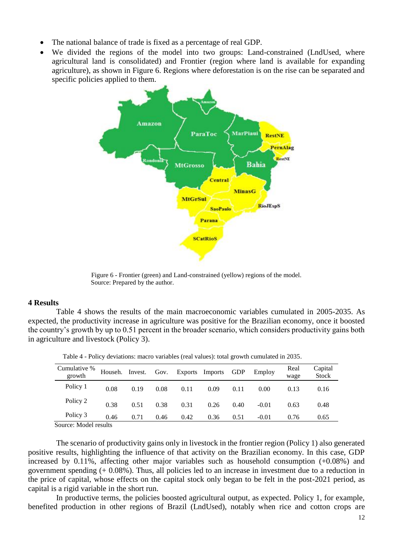- The national balance of trade is fixed as a percentage of real GDP.
- We divided the regions of the model into two groups: Land-constrained (LndUsed, where agricultural land is consolidated) and Frontier (region where land is available for expanding agriculture), as shown in Figure 6. Regions where deforestation is on the rise can be separated and specific policies applied to them.



Figure 6 - Frontier (green) and Land-constrained (yellow) regions of the model. Source: Prepared by the author.

# **4 Results**

Table 4 shows the results of the main macroeconomic variables cumulated in 2005-2035. As expected, the productivity increase in agriculture was positive for the Brazilian economy, once it boosted the country's growth by up to 0.51 percent in the broader scenario, which considers productivity gains both in agriculture and livestock (Policy 3).

| Cumulative %<br>growth         | Househ. | Invest. | Gov. | <b>Exports</b> | Imports | <b>GDP</b> | Employ  | Real<br>wage | Capital<br>Stock |
|--------------------------------|---------|---------|------|----------------|---------|------------|---------|--------------|------------------|
| Policy 1                       | 0.08    | 0.19    | 0.08 | 0.11           | 0.09    | 0.11       | 0.00    | 0.13         | 0.16             |
| Policy 2                       | 0.38    | 0.51    | 0.38 | 0.31           | 0.26    | 0.40       | $-0.01$ | 0.63         | 0.48             |
| Policy 3                       | 0.46    | 0.71    | 0.46 | 0.42           | 0.36    | 0.51       | $-0.01$ | 0.76         | 0.65             |
| $S_{\text{out}}$ Model regults |         |         |      |                |         |            |         |              |                  |

Table 4 - Policy deviations: macro variables (real values): total growth cumulated in 2035.

Source: Model results

The scenario of productivity gains only in livestock in the frontier region (Policy 1) also generated positive results, highlighting the influence of that activity on the Brazilian economy. In this case, GDP increased by 0.11%, affecting other major variables such as household consumption (+0.08%) and government spending (+ 0.08%). Thus, all policies led to an increase in investment due to a reduction in the price of capital, whose effects on the capital stock only began to be felt in the post-2021 period, as capital is a rigid variable in the short run.

In productive terms, the policies boosted agricultural output, as expected. Policy 1, for example, benefited production in other regions of Brazil (LndUsed), notably when rice and cotton crops are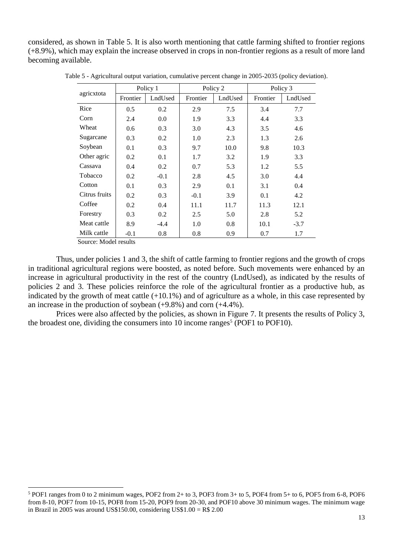considered, as shown in Table 5. It is also worth mentioning that cattle farming shifted to frontier regions (+8.9%), which may explain the increase observed in crops in non-frontier regions as a result of more land becoming available.

|               | Policy 1 |         |          | Policy 2 | Policy 3 |         |
|---------------|----------|---------|----------|----------|----------|---------|
| agricxtota    | Frontier | LndUsed | Frontier | LndUsed  | Frontier | LndUsed |
| Rice          | 0.5      | 0.2     | 2.9      | 7.5      | 3.4      | 7.7     |
| Corn          | 2.4      | 0.0     | 1.9      | 3.3      | 4.4      | 3.3     |
| Wheat         | 0.6      | 0.3     | 3.0      | 4.3      | 3.5      | 4.6     |
| Sugarcane     | 0.3      | 0.2     | 1.0      | 2.3      | 1.3      | 2.6     |
| Soybean       | 0.1      | 0.3     | 9.7      | 10.0     | 9.8      | 10.3    |
| Other agric   | 0.2      | 0.1     | 1.7      | 3.2      | 1.9      | 3.3     |
| Cassava       | 0.4      | 0.2     | 0.7      | 5.3      | 1.2      | 5.5     |
| Tobacco       | 0.2      | $-0.1$  | 2.8      | 4.5      | 3.0      | 4.4     |
| Cotton        | 0.1      | 0.3     | 2.9      | 0.1      | 3.1      | 0.4     |
| Citrus fruits | 0.2      | 0.3     | $-0.1$   | 3.9      | 0.1      | 4.2     |
| Coffee        | 0.2      | 0.4     | 11.1     | 11.7     | 11.3     | 12.1    |
| Forestry      | 0.3      | 0.2     | 2.5      | 5.0      | 2.8      | 5.2     |
| Meat cattle   | 8.9      | $-4.4$  | 1.0      | 0.8      | 10.1     | $-3.7$  |
| Milk cattle   | $-0.1$   | 0.8     | 0.8      | 0.9      | 0.7      | 1.7     |

Table 5 - Agricultural output variation, cumulative percent change in 2005-2035 (policy deviation).

Source: Model results

 $\overline{a}$ 

Thus, under policies 1 and 3, the shift of cattle farming to frontier regions and the growth of crops in traditional agricultural regions were boosted, as noted before. Such movements were enhanced by an increase in agricultural productivity in the rest of the country (LndUsed), as indicated by the results of policies 2 and 3. These policies reinforce the role of the agricultural frontier as a productive hub, as indicated by the growth of meat cattle (+10.1%) and of agriculture as a whole, in this case represented by an increase in the production of soybean (+9.8%) and corn (+4.4%).

Prices were also affected by the policies, as shown in Figure 7. It presents the results of Policy 3, the broadest one, dividing the consumers into 10 income ranges<sup>5</sup> (POF1 to POF10).

<sup>5</sup> POF1 ranges from 0 to 2 minimum wages, POF2 from 2+ to 3, POF3 from 3+ to 5, POF4 from 5+ to 6, POF5 from 6-8, POF6 from 8-10, POF7 from 10-15, POF8 from 15-20, POF9 from 20-30, and POF10 above 30 minimum wages. The minimum wage in Brazil in 2005 was around US\$150.00, considering US\$1.00 = R\$ 2.00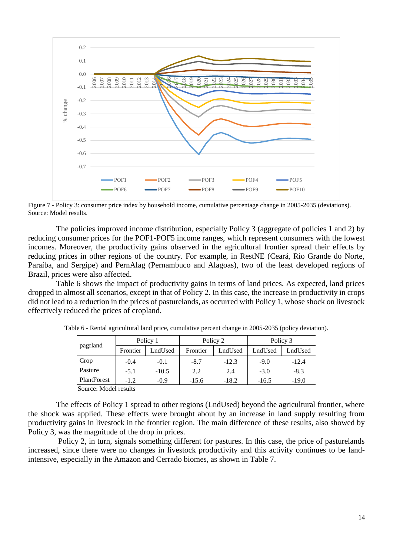

Figure 7 - Policy 3: consumer price index by household income, cumulative percentage change in 2005-2035 (deviations). Source: Model results.

The policies improved income distribution, especially Policy 3 (aggregate of policies 1 and 2) by reducing consumer prices for the POF1-POF5 income ranges, which represent consumers with the lowest incomes. Moreover, the productivity gains observed in the agricultural frontier spread their effects by reducing prices in other regions of the country. For example, in RestNE (Ceará, Rio Grande do Norte, Paraíba, and Sergipe) and PernAlag (Pernambuco and Alagoas), two of the least developed regions of Brazil, prices were also affected.

Table 6 shows the impact of productivity gains in terms of land prices. As expected, land prices dropped in almost all scenarios, except in that of Policy 2. In this case, the increase in productivity in crops did not lead to a reduction in the prices of pasturelands, as occurred with Policy 1, whose shock on livestock effectively reduced the prices of cropland.

|                       | Policy 1 |         |          | Policy 2 | Policy 3 |         |  |
|-----------------------|----------|---------|----------|----------|----------|---------|--|
| pagrland              | Frontier | LndUsed | Frontier | LndUsed  | LndUsed  | LndUsed |  |
| Crop                  | $-0.4$   | $-0.1$  | $-8.7$   | $-12.3$  | $-9.0$   | $-12.4$ |  |
| Pasture               | $-5.1$   | $-10.5$ | 2.2      | 2.4      | $-3.0$   | $-8.3$  |  |
| PlantForest           | $-1.2$   | $-0.9$  | $-15.6$  | $-18.2$  | $-16.5$  | $-19.0$ |  |
| Source: Model results |          |         |          |          |          |         |  |

Table 6 - Rental agricultural land price, cumulative percent change in 2005-2035 (policy deviation).

The effects of Policy 1 spread to other regions (LndUsed) beyond the agricultural frontier, where the shock was applied. These effects were brought about by an increase in land supply resulting from productivity gains in livestock in the frontier region. The main difference of these results, also showed by Policy 3, was the magnitude of the drop in prices.

Policy 2, in turn, signals something different for pastures. In this case, the price of pasturelands increased, since there were no changes in livestock productivity and this activity continues to be landintensive, especially in the Amazon and Cerrado biomes, as shown in Table 7.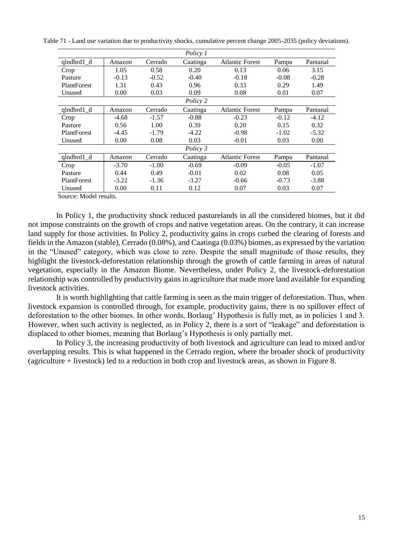Table 71 - Land use variation due to productivity shocks, cumulative percent change 2005-2035 (policy deviations).

|                    |         |         | Policy 1 |                        |         |          |
|--------------------|---------|---------|----------|------------------------|---------|----------|
| $qlndbrd1_d$       | Amazon  | Cerrado | Caatinga | <b>Atlantic Forest</b> | Pampa   | Pantanal |
| Crop               | 1.05    | 0.58    | 0.20     | 0.13                   | 0.06    | 3.15     |
| Pasture            | $-0.13$ | $-0.52$ | $-0.40$  | $-0.18$                | $-0.08$ | $-0.28$  |
| <b>PlantForest</b> | 1.31    | 0.43    | 0.96     | 0.33                   | 0.29    | 1.49     |
| Unused             | 0.00    | 0.03    | 0.09     | 0.08                   | 0.01    | 0.07     |
|                    |         |         | Policy 2 |                        |         |          |
| $qlndbrd1_d$       | Amazon  | Cerrado | Caatinga | <b>Atlantic Forest</b> | Pampa   | Pantanal |
| Crop               | $-4.68$ | $-1.57$ | $-0.88$  | $-0.23$                | $-0.12$ | $-4.12$  |
| Pasture            | 0.56    | 1.00    | 0.39     | 0.20                   | 0.15    | 0.32     |
| <b>PlantForest</b> | $-4.45$ | $-1.79$ | $-4.22$  | $-0.98$                | $-1.02$ | $-5.32$  |
| Unused             | 0.00    | 0.08    | 0.03     | $-0.01$                | 0.03    | 0.00     |
|                    |         |         | Policy 3 |                        |         |          |
| qlndbrd1 d         | Amazon  | Cerrado | Caatinga | <b>Atlantic Forest</b> | Pampa   | Pantanal |
| Crop               | $-3.70$ | $-1.00$ | $-0.69$  | $-0.09$                | $-0.05$ | $-1.07$  |
| Pasture            | 0.44    | 0.49    | $-0.01$  | 0.02                   | 0.08    | 0.05     |
| <b>PlantForest</b> | $-3.22$ | $-1.36$ | $-3.27$  | $-0.66$                | $-0.73$ | $-3.88$  |
| Unused             | 0.00    | 0.11    | 0.12     | 0.07                   | 0.03    | 0.07     |

Source: Model results.

In Policy 1, the productivity shock reduced pasturelands in all the considered biomes, but it did not impose constraints on the growth of crops and native vegetation areas. On the contrary, it can increase land supply for those activities. In Policy 2, productivity gains in crops curbed the clearing of forests and fields in the Amazon (stable), Cerrado (0.08%), and Caatinga (0.03%) biomes, as expressed by the variation in the "Unused" category, which was close to zero. Despite the small magnitude of those results, they highlight the livestock-deforestation relationship through the growth of cattle farming in areas of natural vegetation, especially in the Amazon Biome. Nevertheless, under Policy 2, the livestock-deforestation relationship was controlled by productivity gains in agriculture that made more land available for expanding livestock activities.

It is worth highlighting that cattle farming is seen as the main trigger of deforestation. Thus, when livestock expansion is controlled through, for example, productivity gains, there is no spillover effect of deforestation to the other biomes. In other words, Borlaug' Hypothesis is fully met, as in policies 1 and 3. However, when such activity is neglected, as in Policy 2, there is a sort of "leakage" and deforestation is displaced to other biomes, meaning that Borlaug's Hypothesis is only partially met.

In Policy 3, the increasing productivity of both livestock and agriculture can lead to mixed and/or overlapping results. This is what happened in the Cerrado region, where the broader shock of productivity (agriculture + livestock) led to a reduction in both crop and livestock areas, as shown in Figure 8.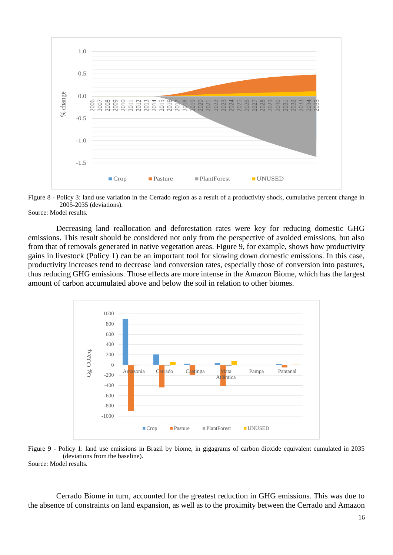

Figure 8 - Policy 3: land use variation in the Cerrado region as a result of a productivity shock, cumulative percent change in 2005-2035 (deviations).

Source: Model results.

Decreasing land reallocation and deforestation rates were key for reducing domestic GHG emissions. This result should be considered not only from the perspective of avoided emissions, but also from that of removals generated in native vegetation areas. Figure 9, for example, shows how productivity gains in livestock (Policy 1) can be an important tool for slowing down domestic emissions. In this case, productivity increases tend to decrease land conversion rates, especially those of conversion into pastures, thus reducing GHG emissions. Those effects are more intense in the Amazon Biome, which has the largest amount of carbon accumulated above and below the soil in relation to other biomes.



Figure 9 - Policy 1: land use emissions in Brazil by biome, in gigagrams of carbon dioxide equivalent cumulated in 2035 (deviations from the baseline). Source: Model results.

Cerrado Biome in turn, accounted for the greatest reduction in GHG emissions. This was due to the absence of constraints on land expansion, as well as to the proximity between the Cerrado and Amazon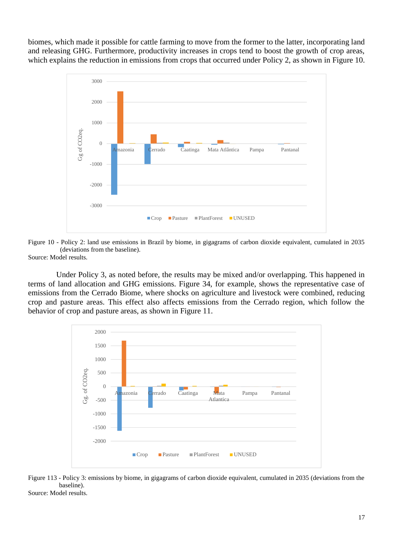biomes, which made it possible for cattle farming to move from the former to the latter, incorporating land and releasing GHG. Furthermore, productivity increases in crops tend to boost the growth of crop areas, which explains the reduction in emissions from crops that occurred under Policy 2, as shown in Figure 10.





Source: Model results.

Under Policy 3, as noted before, the results may be mixed and/or overlapping. This happened in terms of land allocation and GHG emissions. Figure 34, for example, shows the representative case of emissions from the Cerrado Biome, where shocks on agriculture and livestock were combined, reducing crop and pasture areas. This effect also affects emissions from the Cerrado region, which follow the behavior of crop and pasture areas, as shown in Figure 11.



Figure 113 - Policy 3: emissions by biome, in gigagrams of carbon dioxide equivalent, cumulated in 2035 (deviations from the baseline).

Source: Model results.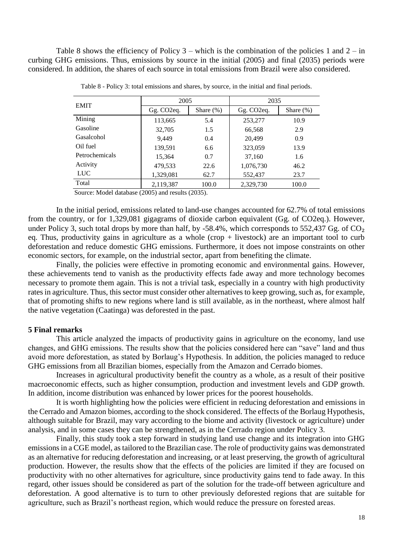Table 8 shows the efficiency of Policy  $3$  – which is the combination of the policies 1 and  $2 - in$ curbing GHG emissions. Thus, emissions by source in the initial (2005) and final (2035) periods were considered. In addition, the shares of each source in total emissions from Brazil were also considered.

| <b>EMIT</b>    | 2005                    |              | 2035                    |              |  |
|----------------|-------------------------|--------------|-------------------------|--------------|--|
|                | Gg. CO <sub>2</sub> eq. | Share $(\%)$ | Gg. CO <sub>2</sub> eq. | Share $(\%)$ |  |
| Mining         | 113,665                 | 5.4          | 253,277                 | 10.9         |  |
| Gasoline       | 32,705                  | 1.5          | 66,568                  | 2.9          |  |
| Gasalcohol     | 9.449                   | 0.4          | 20,499                  | 0.9          |  |
| Oil fuel       | 139,591                 | 6.6          | 323,059                 | 13.9         |  |
| Petrochemicals | 15,364                  | 0.7          | 37,160                  | 1.6          |  |
| Activity       | 479,533                 | 22.6         | 1,076,730               | 46.2         |  |
| <b>LUC</b>     | 1,329,081               | 62.7         | 552,437                 | 23.7         |  |
| Total          | 2,119,387               | 100.0        | 2,329,730               | 100.0        |  |

Table 8 - Policy 3: total emissions and shares, by source, in the initial and final periods.

Source: Model database (2005) and results (2035).

In the initial period, emissions related to land-use changes accounted for 62.7% of total emissions from the country, or for 1,329,081 gigagrams of dioxide carbon equivalent (Gg. of CO2eq.). However, under Policy 3, such total drops by more than half, by -58.4%, which corresponds to 552,437 Gg. of  $CO<sub>2</sub>$ eq. Thus, productivity gains in agriculture as a whole  $(crop + livestock)$  are an important tool to curb deforestation and reduce domestic GHG emissions. Furthermore, it does not impose constraints on other economic sectors, for example, on the industrial sector, apart from benefiting the climate.

Finally, the policies were effective in promoting economic and environmental gains. However, these achievements tend to vanish as the productivity effects fade away and more technology becomes necessary to promote them again. This is not a trivial task, especially in a country with high productivity rates in agriculture. Thus, this sector must consider other alternatives to keep growing, such as, for example, that of promoting shifts to new regions where land is still available, as in the northeast, where almost half the native vegetation (Caatinga) was deforested in the past.

### **5 Final remarks**

This article analyzed the impacts of productivity gains in agriculture on the economy, land use changes, and GHG emissions. The results show that the policies considered here can "save" land and thus avoid more deforestation, as stated by Borlaug's Hypothesis. In addition, the policies managed to reduce GHG emissions from all Brazilian biomes, especially from the Amazon and Cerrado biomes.

Increases in agricultural productivity benefit the country as a whole, as a result of their positive macroeconomic effects, such as higher consumption, production and investment levels and GDP growth. In addition, income distribution was enhanced by lower prices for the poorest households.

It is worth highlighting how the policies were efficient in reducing deforestation and emissions in the Cerrado and Amazon biomes, according to the shock considered. The effects of the Borlaug Hypothesis, although suitable for Brazil, may vary according to the biome and activity (livestock or agriculture) under analysis, and in some cases they can be strengthened, as in the Cerrado region under Policy 3.

Finally, this study took a step forward in studying land use change and its integration into GHG emissions in a CGE model, as tailored to the Brazilian case. The role of productivity gains was demonstrated as an alternative for reducing deforestation and increasing, or at least preserving, the growth of agricultural production. However, the results show that the effects of the policies are limited if they are focused on productivity with no other alternatives for agriculture, since productivity gains tend to fade away. In this regard, other issues should be considered as part of the solution for the trade-off between agriculture and deforestation. A good alternative is to turn to other previously deforested regions that are suitable for agriculture, such as Brazil's northeast region, which would reduce the pressure on forested areas.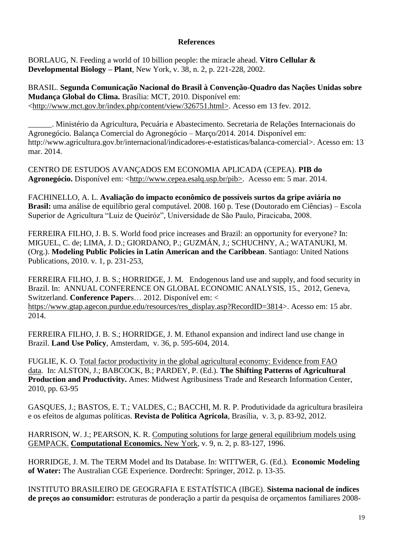# **References**

BORLAUG, N. Feeding a world of 10 billion people: the miracle ahead. **Vitro Cellular & Developmental Biology – Plant**, New York, v. 38, n. 2, p. 221-228, 2002.

BRASIL. **Segunda Comunicação Nacional do Brasil à Convenção-Quadro das Nações Unidas sobre Mudança Global do Clima.** Brasília: MCT, 2010. Disponível em: [<http://www.mct.gov.br/index.php/content/view/326751.html>](http://www.mct.gov.br/index.php/content/view/326751.html). Acesso em 13 fev. 2012.

\_\_\_\_\_\_. Ministério da Agricultura, Pecuária e Abastecimento. Secretaria de Relações Internacionais do Agronegócio. Balança Comercial do Agronegócio – Março/2014. 2014. Disponível em: http://www.agricultura.gov.br/internacional/indicadores-e-estatisticas/balanca-comercial>. Acesso em: 13 mar. 2014.

CENTRO DE ESTUDOS AVANÇADOS EM ECONOMIA APLICADA (CEPEA). **PIB do Agronegócio.** Disponível em: [<http://www.cepea.esalq.usp.br/pib>](http://www.cepea.esalq.usp.br/pib). Acesso em: 5 mar. 2014.

FACHINELLO, A. L. **Avaliação do impacto econômico de possíveis surtos da gripe aviária no Brasil:** uma análise de equilíbrio geral computável. 2008. 160 p. Tese (Doutorado em Ciências) – Escola Superior de Agricultura "Luiz de Queiróz", Universidade de São Paulo, Piracicaba, 2008.

FERREIRA FILHO, J. B. S. World food price increases and Brazil: an opportunity for everyone? In: MIGUEL, C. de; LIMA, J. D.; GIORDANO, P.; GUZMÁN, J.; SCHUCHNY, A.; WATANUKI, M. (Org.). **Modeling Public Policies in Latin American and the Caribbean**. Santiago: United Nations Publications, 2010. v. 1, p. 231-253,

FERREIRA FILHO, J. B. S.; HORRIDGE, J. M. Endogenous land use and supply, and food security in Brazil. In: ANNUAL CONFERENCE ON GLOBAL ECONOMIC ANALYSIS, 15., 2012, Geneva, Switzerland. **Conference Paper**s… 2012. Disponível em: < [https://www.gtap.agecon.purdue.edu/resources/res\\_display.asp?RecordID=3814>](https://www.gtap.agecon.purdue.edu/resources/res_display.asp?RecordID=3814). Acesso em: 15 abr. 2014.

FERREIRA FILHO, J. B. S.; HORRIDGE, J. M. Ethanol expansion and indirect land use change in Brazil. **Land Use Policy**, Amsterdam, v. 36, p. 595-604, 2014.

FUGLIE, K. O. [Total factor productivity in the global agricultural economy: Evidence from FAO](http://www.matric.org/shifting_patterns/pdfs/chapter4.pdf)  [data.](http://www.matric.org/shifting_patterns/pdfs/chapter4.pdf) In: ALSTON, J.; BABCOCK, B.; PARDEY, P. (Ed.). **The Shifting Patterns of Agricultural Production and Productivity.** Ames: Midwest Agribusiness Trade and Research Information Center, 2010, pp. 63-95

GASQUES, J.; BASTOS, E. T.; VALDES, C.; BACCHI, M. R. P. Produtividade da agricultura brasileira e os efeitos de algumas políticas. **Revista de Política Agrícola**, Brasília, v. 3, p. 83-92, 2012.

HARRISON, W. J.; PEARSON, K. R. [Computing solutions for large general equilibrium models using](http://ideas.repec.org/a/kap/compec/v9y1996i2p83-127.html)  [GEMPACK.](http://ideas.repec.org/a/kap/compec/v9y1996i2p83-127.html) **[Computational Economics.](http://ideas.repec.org/s/kap/compec.html)** New York, v. 9, n. 2, p. 83-127, 1996.

HORRIDGE, J. M. The TERM Model and Its Database. In: WITTWER, G. (Ed.). **Economic Modeling of Water:** The Australian CGE Experience. Dordrecht: Springer, 2012. p. 13-35.

INSTITUTO BRASILEIRO DE GEOGRAFIA E ESTATÍSTICA (IBGE). **Sistema nacional de índices de preços ao consumidor:** estruturas de ponderação a partir da pesquisa de orçamentos familiares 2008